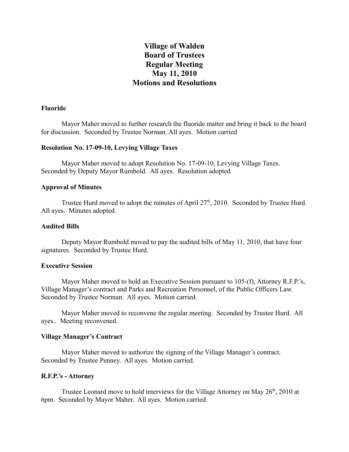# **Village of Walden Board of Trustees Regular Meeting May 11, 2010 Motions and Resolutions**

## **Fluoride**

Mayor Maher moved to further research the fluoride matter and bring it back to the board for discussion. Seconded by Trustee Norman. All ayes. Motion carried

#### **Resolution No. 17-09-10, Levying Village Taxes**

Mayor Maher moved to adopt Resolution No. 17-09-10, Levying Village Taxes. Seconded by Deputy Mayor Rumbold. All ayes. Resolution adopted

#### **Approval of Minutes**

Trustee Hurd moved to adopt the minutes of April  $27<sup>th</sup>$ , 2010. Seconded by Trustee Hurd. All ayes. Minutes adopted.

#### **Audited Bills**

Deputy Mayor Rumbold moved to pay the audited bills of May 11, 2010, that have four signatures. Seconded by Trustee Hurd.

#### **Executive Session**

Mayor Maher moved to hold an Executive Session pursuant to 105-(f), Attorney R.F.P.'s, Village Manager's contract and Parks and Recreation Personnel, of the Public Officers Law. Seconded by Trustee Norman. All ayes. Motion carried.

Mayor Maher moved to reconvene the regular meeting. Seconded by Trustee Hurd. All ayes.. Meeting reconvened.

## **Village Manager's Contract**

Mayor Maher moved to authorize the signing of the Village Manager's contract. Seconded by Trustee Penney. All ayes. Motion carried.

#### **R.F.P.'s - Attorney**

Trustee Leonard move to hold interviews for the Village Attorney on May 26<sup>th</sup>, 2010 at 6pm. Seconded by Mayor Maher. All ayes. Motion carried.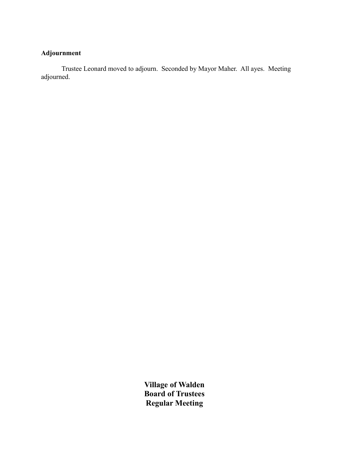# **Adjournment**

Trustee Leonard moved to adjourn. Seconded by Mayor Maher. All ayes. Meeting adjourned.

> **Village of Walden Board of Trustees Regular Meeting**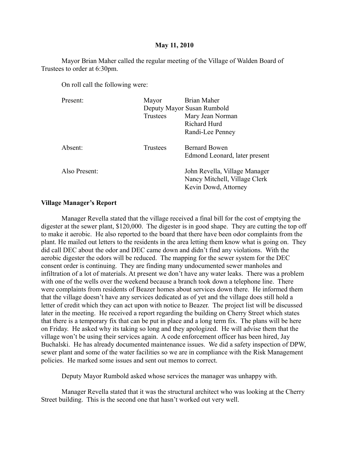#### **May 11, 2010**

Mayor Brian Maher called the regular meeting of the Village of Walden Board of Trustees to order at 6:30pm.

On roll call the following were:

| Present:      | Mayor    | Brian Maher                                                                            |
|---------------|----------|----------------------------------------------------------------------------------------|
|               |          | Deputy Mayor Susan Rumbold                                                             |
|               | Trustees | Mary Jean Norman                                                                       |
|               |          | Richard Hurd                                                                           |
|               |          | Randi-Lee Penney                                                                       |
| Absent:       | Trustees | <b>Bernard Bowen</b>                                                                   |
|               |          | Edmond Leonard, later present                                                          |
| Also Present: |          | John Revella, Village Manager<br>Nancy Mitchell, Village Clerk<br>Kevin Dowd, Attorney |
|               |          |                                                                                        |

#### **Village Manager's Report**

Manager Revella stated that the village received a final bill for the cost of emptying the digester at the sewer plant, \$120,000. The digester is in good shape. They are cutting the top off to make it aerobic. He also reported to the board that there have been odor complaints from the plant. He mailed out letters to the residents in the area letting them know what is going on. They did call DEC about the odor and DEC came down and didn't find any violations. With the aerobic digester the odors will be reduced. The mapping for the sewer system for the DEC consent order is continuing. They are finding many undocumented sewer manholes and infiltration of a lot of materials. At present we don't have any water leaks. There was a problem with one of the wells over the weekend because a branch took down a telephone line. There were complaints from residents of Beazer homes about services down there. He informed them that the village doesn't have any services dedicated as of yet and the village does still hold a letter of credit which they can act upon with notice to Beazer. The project list will be discussed later in the meeting. He received a report regarding the building on Cherry Street which states that there is a temporary fix that can be put in place and a long term fix. The plans will be here on Friday. He asked why its taking so long and they apologized. He will advise them that the village won't be using their services again. A code enforcement officer has been hired, Jay Buchalski. He has already documented maintenance issues. We did a safety inspection of DPW, sewer plant and some of the water facilities so we are in compliance with the Risk Management policies. He marked some issues and sent out memos to correct.

Deputy Mayor Rumbold asked whose services the manager was unhappy with.

Manager Revella stated that it was the structural architect who was looking at the Cherry Street building. This is the second one that hasn't worked out very well.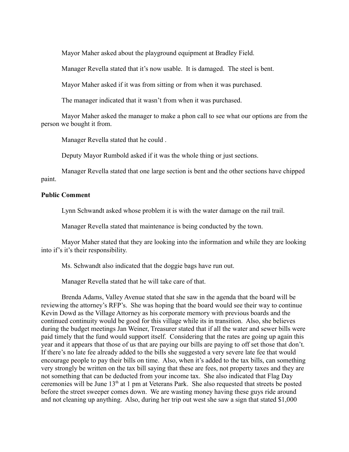Mayor Maher asked about the playground equipment at Bradley Field.

Manager Revella stated that it's now usable. It is damaged. The steel is bent.

Mayor Maher asked if it was from sitting or from when it was purchased.

The manager indicated that it wasn't from when it was purchased.

Mayor Maher asked the manager to make a phon call to see what our options are from the person we bought it from.

Manager Revella stated that he could .

Deputy Mayor Rumbold asked if it was the whole thing or just sections.

Manager Revella stated that one large section is bent and the other sections have chipped paint.

## **Public Comment**

Lynn Schwandt asked whose problem it is with the water damage on the rail trail.

Manager Revella stated that maintenance is being conducted by the town.

Mayor Maher stated that they are looking into the information and while they are looking into if's it's their responsibility.

Ms. Schwandt also indicated that the doggie bags have run out.

Manager Revella stated that he will take care of that.

Brenda Adams, Valley Avenue stated that she saw in the agenda that the board will be reviewing the attorney's RFP's. She was hoping that the board would see their way to continue Kevin Dowd as the Village Attorney as his corporate memory with previous boards and the continued continuity would be good for this village while its in transition. Also, she believes during the budget meetings Jan Weiner, Treasurer stated that if all the water and sewer bills were paid timely that the fund would support itself. Considering that the rates are going up again this year and it appears that those of us that are paying our bills are paying to off set those that don't. If there's no late fee already added to the bills she suggested a very severe late fee that would encourage people to pay their bills on time. Also, when it's added to the tax bills, can something very strongly be written on the tax bill saying that these are fees, not property taxes and they are not something that can be deducted from your income tax. She also indicated that Flag Day ceremonies will be June 13th at 1 pm at Veterans Park. She also requested that streets be posted before the street sweeper comes down. We are wasting money having these guys ride around and not cleaning up anything. Also, during her trip out west she saw a sign that stated \$1,000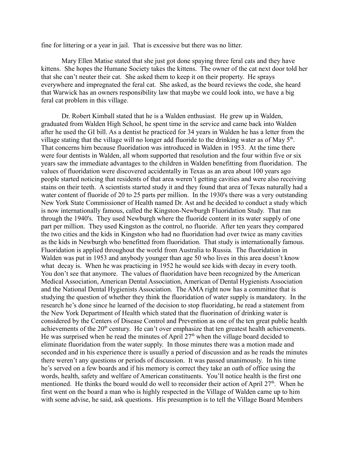fine for littering or a year in jail. That is excessive but there was no litter.

Mary Ellen Matise stated that she just got done spaying three feral cats and they have kittens. She hopes the Humane Society takes the kittens. The owner of the cat next door told her that she can't neuter their cat. She asked them to keep it on their property. He sprays everywhere and impregnated the feral cat. She asked, as the board reviews the code, she heard that Warwick has an owners responsibility law that maybe we could look into, we have a big feral cat problem in this village.

Dr. Robert Kimball stated that he is a Walden enthusiast. He grew up in Walden, graduated from Walden High School, he spent time in the service and came back into Walden after he used the GI bill. As a dentist he practiced for 34 years in Walden he has a letter from the village stating that the village will no longer add fluoride to the drinking water as of May  $5<sup>th</sup>$ . That concerns him because fluoridation was introduced in Walden in 1953. At the time there were four dentists in Walden, all whom supported that resolution and the four within five or six years saw the immediate advantages to the children in Walden benefitting from fluoridation. The values of fluoridation were discovered accidentally in Texas as an area about 100 years ago people started noticing that residents of that area weren't getting cavities and were also receiving stains on their teeth. A scientists started study it and they found that area of Texas naturally had a water content of fluoride of 20 to 25 parts per million. In the 1930's there was a very outstanding New York State Commissioner of Health named Dr. Ast and he decided to conduct a study which is now internationally famous, called the Kingston-Newburgh Fluoridation Study. That ran through the 1940's. They used Newburgh where the fluoride content in its water supply of one part per million. They used Kingston as the control, no fluoride. After ten years they compared the two cities and the kids in Kingston who had no fluoridation had over twice as many cavities as the kids in Newburgh who benefitted from fluoridation. That study is internationally famous. Fluoridation is applied throughout the world from Australia to Russia. The fluoridation in Walden was put in 1953 and anybody younger than age 50 who lives in this area doesn't know what decay is. When he was practicing in 1952 he would see kids with decay in every tooth. You don't see that anymore. The values of fluoridation have been recognized by the American Medical Association, American Dental Association, American of Dental Hygienists Association and the National Dental Hygienists Association. The AMA right now has a committee that is studying the question of whether they think the fluoridation of water supply is mandatory. In the research he's done since he learned of the decision to stop fluoridating, he read a statement from the New York Department of Health which stated that the fluorination of drinking water is considered by the Centers of Disease Control and Prevention as one of the ten great public health achievements of the 20<sup>th</sup> century. He can't over emphasize that ten greatest health achievements. He was surprised when he read the minutes of April  $27<sup>th</sup>$  when the village board decided to eliminate fluoridation from the water supply. In those minutes there was a motion made and seconded and in his experience there is usually a period of discussion and as he reads the minutes there weren't any questions or periods of discussion. It was passed unanimously. In his time he's served on a few boards and if his memory is correct they take an oath of office using the words, health, safety and welfare of American constituents. You'll notice health is the first one mentioned. He thinks the board would do well to reconsider their action of April 27<sup>th</sup>. When he first went on the board a man who is highly respected in the Village of Walden came up to him with some advise, he said, ask questions. His presumption is to tell the Village Board Members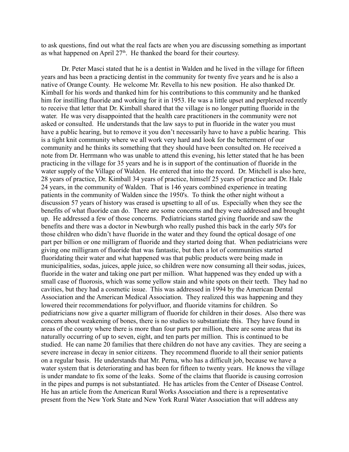to ask questions, find out what the real facts are when you are discussing something as important as what happened on April  $27<sup>th</sup>$ . He thanked the board for their courtesy.

Dr. Peter Masci stated that he is a dentist in Walden and he lived in the village for fifteen years and has been a practicing dentist in the community for twenty five years and he is also a native of Orange County. He welcome Mr. Revella to his new position. He also thanked Dr. Kimball for his words and thanked him for his contributions to this community and he thanked him for instilling fluoride and working for it in 1953. He was a little upset and perplexed recently to receive that letter that Dr. Kimball shared that the village is no longer putting fluoride in the water. He was very disappointed that the health care practitioners in the community were not asked or consulted. He understands that the law says to put in fluoride in the water you must have a public hearing, but to remove it you don't necessarily have to have a public hearing. This is a tight knit community where we all work very hard and look for the betterment of our community and he thinks its something that they should have been consulted on. He received a note from Dr. Herrmann who was unable to attend this evening, his letter stated that he has been practicing in the village for 35 years and he is in support of the continuation of fluoride in the water supply of the Village of Walden. He entered that into the record. Dr. Mitchell is also here, 28 years of practice, Dr. Kimball 34 years of practice, himself 25 years of practice and Dr. Hale 24 years, in the community of Walden. That is 146 years combined experience in treating patients in the community of Walden since the 1950's. To think the other night without a discussion 57 years of history was erased is upsetting to all of us. Especially when they see the benefits of what fluoride can do. There are some concerns and they were addressed and brought up. He addressed a few of those concerns. Pediatricians started giving fluoride and saw the benefits and there was a doctor in Newburgh who really pushed this back in the early 50's for those children who didn't have fluoride in the water and they found the optical dosage of one part per billion or one milligram of fluoride and they started doing that. When pediatricians were giving one milligram of fluoride that was fantastic, but then a lot of communities started fluoridating their water and what happened was that public products were being made in municipalities, sodas, juices, apple juice, so children were now consuming all their sodas, juices, fluoride in the water and taking one part per million. What happened was they ended up with a small case of fluorosis, which was some yellow stain and white spots on their teeth. They had no cavities, but they had a cosmetic issue. This was addressed in 1994 by the American Dental Association and the American Medical Association. They realized this was happening and they lowered their recommendations for polyvifluor, and fluoride vitamins for children. So pediatricians now give a quarter milligram of fluoride for children in their doses. Also there was concern about weakening of bones, there is no studies to substantiate this. They have found in areas of the county where there is more than four parts per million, there are some areas that its naturally occurring of up to seven, eight, and ten parts per million. This is continued to be studied. He can name 20 families that there children do not have any cavities. They are seeing a severe increase in decay in senior citizens. They recommend fluoride to all their senior patients on a regular basis. He understands that Mr. Perna, who has a difficult job, because we have a water system that is deteriorating and has been for fifteen to twenty years. He knows the village is under mandate to fix some of the leaks. Some of the claims that fluoride is causing corrosion in the pipes and pumps is not substantiated. He has articles from the Center of Disease Control. He has an article from the American Rural Works Association and there is a representative present from the New York State and New York Rural Water Association that will address any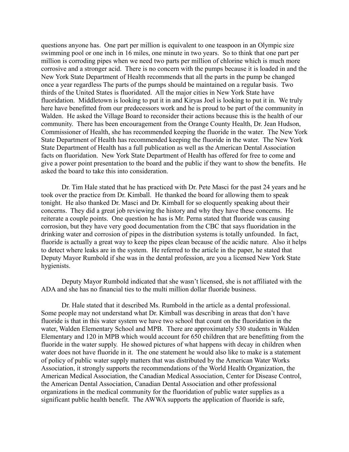questions anyone has. One part per million is equivalent to one teaspoon in an Olympic size swimming pool or one inch in 16 miles, one minute in two years. So to think that one part per million is corroding pipes when we need two parts per million of chlorine which is much more corrosive and a stronger acid. There is no concern with the pumps because it is loaded in and the New York State Department of Health recommends that all the parts in the pump be changed once a year regardless The parts of the pumps should be maintained on a regular basis. Two thirds of the United States is fluoridated. All the major cities in New York State have fluoridation. Middletown is looking to put it in and Kiryas Joel is looking to put it in. We truly here have benefitted from our predecessors work and he is proud to be part of the community in Walden. He asked the Village Board to reconsider their actions because this is the health of our community. There has been encouragement from the Orange County Health, Dr. Jean Hudson, Commissioner of Health, she has recommended keeping the fluoride in the water. The New York State Department of Health has recommended keeping the fluoride in the water. The New York State Department of Health has a full publication as well as the American Dental Association facts on fluoridation. New York State Department of Health has offered for free to come and give a power point presentation to the board and the public if they want to show the benefits. He asked the board to take this into consideration.

Dr. Tim Hale stated that he has practiced with Dr. Pete Masci for the past 24 years and he took over the practice from Dr. Kimball. He thanked the board for allowing them to speak tonight. He also thanked Dr. Masci and Dr. Kimball for so eloquently speaking about their concerns. They did a great job reviewing the history and why they have these concerns. He reiterate a couple points. One question he has is Mr. Perna stated that fluoride was causing corrosion, but they have very good documentation from the CBC that says fluoridation in the drinking water and corrosion of pipes in the distribution systems is totally unfounded. In fact, fluoride is actually a great way to keep the pipes clean because of the acidic nature. Also it helps to detect where leaks are in the system. He referred to the article in the paper, he stated that Deputy Mayor Rumbold if she was in the dental profession, are you a licensed New York State hygienists.

Deputy Mayor Rumbold indicated that she wasn't licensed, she is not affiliated with the ADA and she has no financial ties to the multi million dollar fluoride business.

Dr. Hale stated that it described Ms. Rumbold in the article as a dental professional. Some people may not understand what Dr. Kimball was describing in areas that don't have fluoride is that in this water system we have two school that count on the fluoridation in the water, Walden Elementary School and MPB. There are approximately 530 students in Walden Elementary and 120 in MPB which would account for 650 children that are benefitting from the fluoride in the water supply. He showed pictures of what happens with decay in children when water does not have fluoride in it. The one statement he would also like to make is a statement of policy of public water supply matters that was distributed by the American Water Works Association, it strongly supports the recommendations of the World Health Organization, the American Medical Association, the Canadian Medical Association, Center for Disease Control, the American Dental Association, Canadian Dental Association and other professional organizations in the medical community for the fluoridation of public water supplies as a significant public health benefit. The AWWA supports the application of fluoride is safe,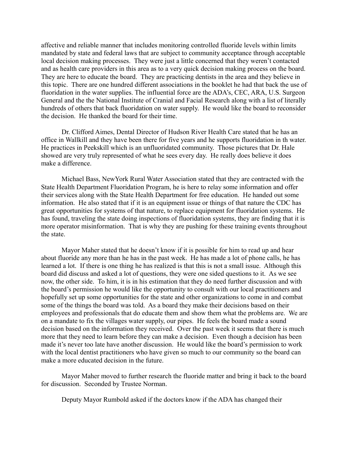affective and reliable manner that includes monitoring controlled fluoride levels within limits mandated by state and federal laws that are subject to community acceptance through acceptable local decision making processes. They were just a little concerned that they weren't contacted and as health care providers in this area as to a very quick decision making process on the board. They are here to educate the board. They are practicing dentists in the area and they believe in this topic. There are one hundred different associations in the booklet he had that back the use of fluoridation in the water supplies. The influential force are the ADA's, CEC, ARA, U.S. Surgeon General and the the National Institute of Cranial and Facial Research along with a list of literally hundreds of others that back fluoridation on water supply. He would like the board to reconsider the decision. He thanked the board for their time.

Dr. Clifford Aimes, Dental Director of Hudson River Health Care stated that he has an office in Wallkill and they have been there for five years and he supports fluoridation in th water. He practices in Peekskill which is an unfluoridated community. Those pictures that Dr. Hale showed are very truly represented of what he sees every day. He really does believe it does make a difference.

Michael Bass, NewYork Rural Water Association stated that they are contracted with the State Health Department Fluoridation Program, he is here to relay some information and offer their services along with the State Health Department for free education. He handed out some information. He also stated that if it is an equipment issue or things of that nature the CDC has great opportunities for systems of that nature, to replace equipment for fluoridation systems. He has found, traveling the state doing inspections of fluoridation systems, they are finding that it is more operator misinformation. That is why they are pushing for these training events throughout the state.

Mayor Maher stated that he doesn't know if it is possible for him to read up and hear about fluoride any more than he has in the past week. He has made a lot of phone calls, he has learned a lot. If there is one thing he has realized is that this is not a small issue. Although this board did discuss and asked a lot of questions, they were one sided questions to it. As we see now, the other side. To him, it is in his estimation that they do need further discussion and with the board's permission he would like the opportunity to consult with our local practitioners and hopefully set up some opportunities for the state and other organizations to come in and combat some of the things the board was told. As a board they make their decisions based on their employees and professionals that do educate them and show them what the problems are. We are on a mandate to fix the villages water supply, our pipes. He feels the board made a sound decision based on the information they received. Over the past week it seems that there is much more that they need to learn before they can make a decision. Even though a decision has been made it's never too late have another discussion. He would like the board's permission to work with the local dentist practitioners who have given so much to our community so the board can make a more educated decision in the future.

Mayor Maher moved to further research the fluoride matter and bring it back to the board for discussion. Seconded by Trustee Norman.

Deputy Mayor Rumbold asked if the doctors know if the ADA has changed their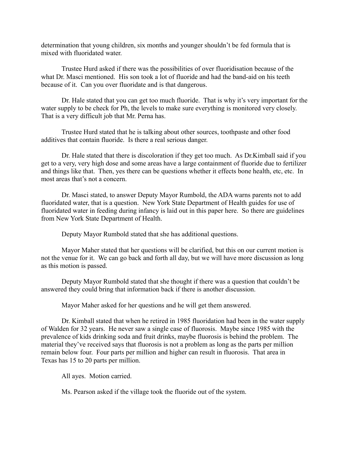determination that young children, six months and younger shouldn't be fed formula that is mixed with fluoridated water.

Trustee Hurd asked if there was the possibilities of over fluoridisation because of the what Dr. Masci mentioned. His son took a lot of fluoride and had the band-aid on his teeth because of it. Can you over fluoridate and is that dangerous.

Dr. Hale stated that you can get too much fluoride. That is why it's very important for the water supply to be check for Ph, the levels to make sure everything is monitored very closely. That is a very difficult job that Mr. Perna has.

Trustee Hurd stated that he is talking about other sources, toothpaste and other food additives that contain fluoride. Is there a real serious danger.

Dr. Hale stated that there is discoloration if they get too much. As Dr.Kimball said if you get to a very, very high dose and some areas have a large containment of fluoride due to fertilizer and things like that. Then, yes there can be questions whether it effects bone health, etc, etc. In most areas that's not a concern.

Dr. Masci stated, to answer Deputy Mayor Rumbold, the ADA warns parents not to add fluoridated water, that is a question. New York State Department of Health guides for use of fluoridated water in feeding during infancy is laid out in this paper here. So there are guidelines from New York State Department of Health.

Deputy Mayor Rumbold stated that she has additional questions.

Mayor Maher stated that her questions will be clarified, but this on our current motion is not the venue for it. We can go back and forth all day, but we will have more discussion as long as this motion is passed.

Deputy Mayor Rumbold stated that she thought if there was a question that couldn't be answered they could bring that information back if there is another discussion.

Mayor Maher asked for her questions and he will get them answered.

Dr. Kimball stated that when he retired in 1985 fluoridation had been in the water supply of Walden for 32 years. He never saw a single case of fluorosis. Maybe since 1985 with the prevalence of kids drinking soda and fruit drinks, maybe fluorosis is behind the problem. The material they've received says that fluorosis is not a problem as long as the parts per million remain below four. Four parts per million and higher can result in fluorosis. That area in Texas has 15 to 20 parts per million.

All ayes. Motion carried.

Ms. Pearson asked if the village took the fluoride out of the system.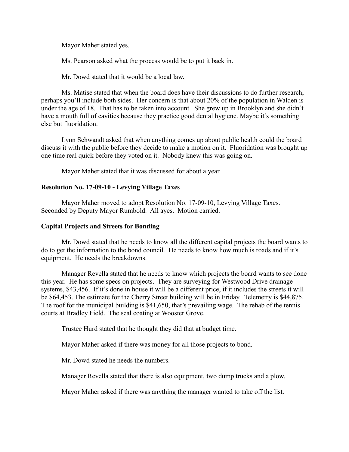Mayor Maher stated yes.

Ms. Pearson asked what the process would be to put it back in.

Mr. Dowd stated that it would be a local law.

Ms. Matise stated that when the board does have their discussions to do further research, perhaps you'll include both sides. Her concern is that about 20% of the population in Walden is under the age of 18. That has to be taken into account. She grew up in Brooklyn and she didn't have a mouth full of cavities because they practice good dental hygiene. Maybe it's something else but fluoridation.

Lynn Schwandt asked that when anything comes up about public health could the board discuss it with the public before they decide to make a motion on it. Fluoridation was brought up one time real quick before they voted on it. Nobody knew this was going on.

Mayor Maher stated that it was discussed for about a year.

# **Resolution No. 17-09-10 - Levying Village Taxes**

Mayor Maher moved to adopt Resolution No. 17-09-10, Levying Village Taxes. Seconded by Deputy Mayor Rumbold. All ayes. Motion carried.

# **Capital Projects and Streets for Bonding**

Mr. Dowd stated that he needs to know all the different capital projects the board wants to do to get the information to the bond council. He needs to know how much is roads and if it's equipment. He needs the breakdowns.

Manager Revella stated that he needs to know which projects the board wants to see done this year. He has some specs on projects. They are surveying for Westwood Drive drainage systems, \$43,456. If it's done in house it will be a different price, if it includes the streets it will be \$64,453. The estimate for the Cherry Street building will be in Friday. Telemetry is \$44,875. The roof for the municipal building is \$41,650, that's prevailing wage. The rehab of the tennis courts at Bradley Field. The seal coating at Wooster Grove.

Trustee Hurd stated that he thought they did that at budget time.

Mayor Maher asked if there was money for all those projects to bond.

Mr. Dowd stated he needs the numbers.

Manager Revella stated that there is also equipment, two dump trucks and a plow.

Mayor Maher asked if there was anything the manager wanted to take off the list.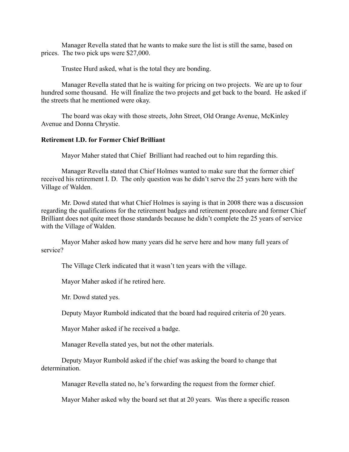Manager Revella stated that he wants to make sure the list is still the same, based on prices. The two pick ups were \$27,000.

Trustee Hurd asked, what is the total they are bonding.

Manager Revella stated that he is waiting for pricing on two projects. We are up to four hundred some thousand. He will finalize the two projects and get back to the board. He asked if the streets that he mentioned were okay.

The board was okay with those streets, John Street, Old Orange Avenue, McKinley Avenue and Donna Chrystie.

# **Retirement I.D. for Former Chief Brilliant**

Mayor Maher stated that Chief Brilliant had reached out to him regarding this.

Manager Revella stated that Chief Holmes wanted to make sure that the former chief received his retirement I. D. The only question was he didn't serve the 25 years here with the Village of Walden.

Mr. Dowd stated that what Chief Holmes is saying is that in 2008 there was a discussion regarding the qualifications for the retirement badges and retirement procedure and former Chief Brilliant does not quite meet those standards because he didn't complete the 25 years of service with the Village of Walden.

Mayor Maher asked how many years did he serve here and how many full years of service?

The Village Clerk indicated that it wasn't ten years with the village.

Mayor Maher asked if he retired here.

Mr. Dowd stated yes.

Deputy Mayor Rumbold indicated that the board had required criteria of 20 years.

Mayor Maher asked if he received a badge.

Manager Revella stated yes, but not the other materials.

Deputy Mayor Rumbold asked if the chief was asking the board to change that determination.

Manager Revella stated no, he's forwarding the request from the former chief.

Mayor Maher asked why the board set that at 20 years. Was there a specific reason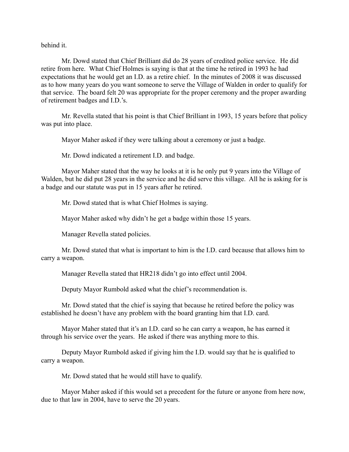behind it.

Mr. Dowd stated that Chief Brilliant did do 28 years of credited police service. He did retire from here. What Chief Holmes is saying is that at the time he retired in 1993 he had expectations that he would get an I.D. as a retire chief. In the minutes of 2008 it was discussed as to how many years do you want someone to serve the Village of Walden in order to qualify for that service. The board felt 20 was appropriate for the proper ceremony and the proper awarding of retirement badges and I.D.'s.

Mr. Revella stated that his point is that Chief Brilliant in 1993, 15 years before that policy was put into place.

Mayor Maher asked if they were talking about a ceremony or just a badge.

Mr. Dowd indicated a retirement I.D. and badge.

Mayor Maher stated that the way he looks at it is he only put 9 years into the Village of Walden, but he did put 28 years in the service and he did serve this village. All he is asking for is a badge and our statute was put in 15 years after he retired.

Mr. Dowd stated that is what Chief Holmes is saying.

Mayor Maher asked why didn't he get a badge within those 15 years.

Manager Revella stated policies.

Mr. Dowd stated that what is important to him is the I.D. card because that allows him to carry a weapon.

Manager Revella stated that HR218 didn't go into effect until 2004.

Deputy Mayor Rumbold asked what the chief's recommendation is.

Mr. Dowd stated that the chief is saying that because he retired before the policy was established he doesn't have any problem with the board granting him that I.D. card.

Mayor Maher stated that it's an I.D. card so he can carry a weapon, he has earned it through his service over the years. He asked if there was anything more to this.

Deputy Mayor Rumbold asked if giving him the I.D. would say that he is qualified to carry a weapon.

Mr. Dowd stated that he would still have to qualify.

Mayor Maher asked if this would set a precedent for the future or anyone from here now, due to that law in 2004, have to serve the 20 years.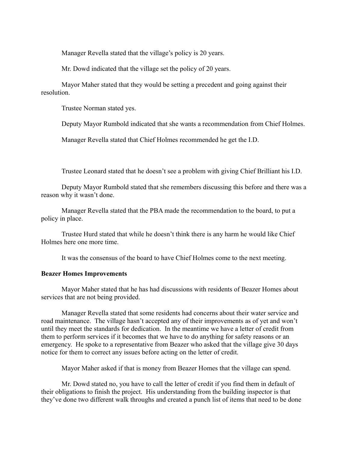Manager Revella stated that the village's policy is 20 years.

Mr. Dowd indicated that the village set the policy of 20 years.

Mayor Maher stated that they would be setting a precedent and going against their resolution.

Trustee Norman stated yes.

Deputy Mayor Rumbold indicated that she wants a recommendation from Chief Holmes.

Manager Revella stated that Chief Holmes recommended he get the I.D.

Trustee Leonard stated that he doesn't see a problem with giving Chief Brilliant his I.D.

Deputy Mayor Rumbold stated that she remembers discussing this before and there was a reason why it wasn't done.

Manager Revella stated that the PBA made the recommendation to the board, to put a policy in place.

Trustee Hurd stated that while he doesn't think there is any harm he would like Chief Holmes here one more time.

It was the consensus of the board to have Chief Holmes come to the next meeting.

#### **Beazer Homes Improvements**

Mayor Maher stated that he has had discussions with residents of Beazer Homes about services that are not being provided.

Manager Revella stated that some residents had concerns about their water service and road maintenance. The village hasn't accepted any of their improvements as of yet and won't until they meet the standards for dedication. In the meantime we have a letter of credit from them to perform services if it becomes that we have to do anything for safety reasons or an emergency. He spoke to a representative from Beazer who asked that the village give 30 days notice for them to correct any issues before acting on the letter of credit.

Mayor Maher asked if that is money from Beazer Homes that the village can spend.

Mr. Dowd stated no, you have to call the letter of credit if you find them in default of their obligations to finish the project. His understanding from the building inspector is that they've done two different walk throughs and created a punch list of items that need to be done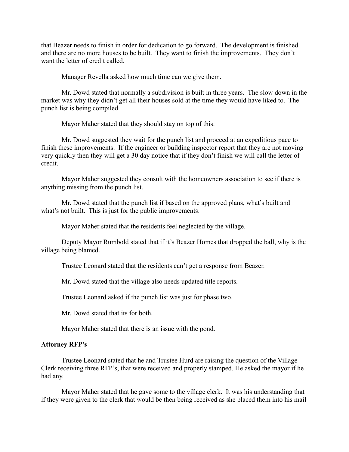that Beazer needs to finish in order for dedication to go forward. The development is finished and there are no more houses to be built. They want to finish the improvements. They don't want the letter of credit called.

Manager Revella asked how much time can we give them.

Mr. Dowd stated that normally a subdivision is built in three years. The slow down in the market was why they didn't get all their houses sold at the time they would have liked to. The punch list is being compiled.

Mayor Maher stated that they should stay on top of this.

Mr. Dowd suggested they wait for the punch list and proceed at an expeditious pace to finish these improvements. If the engineer or building inspector report that they are not moving very quickly then they will get a 30 day notice that if they don't finish we will call the letter of credit.

Mayor Maher suggested they consult with the homeowners association to see if there is anything missing from the punch list.

Mr. Dowd stated that the punch list if based on the approved plans, what's built and what's not built. This is just for the public improvements.

Mayor Maher stated that the residents feel neglected by the village.

Deputy Mayor Rumbold stated that if it's Beazer Homes that dropped the ball, why is the village being blamed.

Trustee Leonard stated that the residents can't get a response from Beazer.

Mr. Dowd stated that the village also needs updated title reports.

Trustee Leonard asked if the punch list was just for phase two.

Mr. Dowd stated that its for both.

Mayor Maher stated that there is an issue with the pond.

#### **Attorney RFP's**

Trustee Leonard stated that he and Trustee Hurd are raising the question of the Village Clerk receiving three RFP's, that were received and properly stamped. He asked the mayor if he had any.

Mayor Maher stated that he gave some to the village clerk. It was his understanding that if they were given to the clerk that would be then being received as she placed them into his mail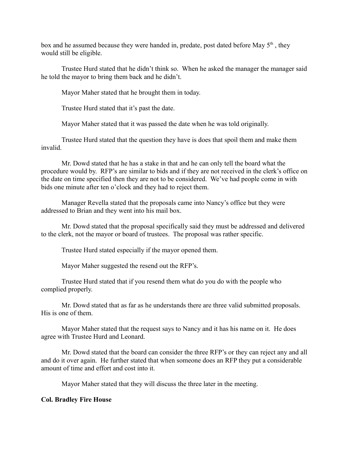box and he assumed because they were handed in, predate, post dated before May  $5<sup>th</sup>$ , they would still be eligible.

Trustee Hurd stated that he didn't think so. When he asked the manager the manager said he told the mayor to bring them back and he didn't.

Mayor Maher stated that he brought them in today.

Trustee Hurd stated that it's past the date.

Mayor Maher stated that it was passed the date when he was told originally.

Trustee Hurd stated that the question they have is does that spoil them and make them invalid.

Mr. Dowd stated that he has a stake in that and he can only tell the board what the procedure would by. RFP's are similar to bids and if they are not received in the clerk's office on the date on time specified then they are not to be considered. We've had people come in with bids one minute after ten o'clock and they had to reject them.

Manager Revella stated that the proposals came into Nancy's office but they were addressed to Brian and they went into his mail box.

Mr. Dowd stated that the proposal specifically said they must be addressed and delivered to the clerk, not the mayor or board of trustees. The proposal was rather specific.

Trustee Hurd stated especially if the mayor opened them.

Mayor Maher suggested the resend out the RFP's.

Trustee Hurd stated that if you resend them what do you do with the people who complied properly.

Mr. Dowd stated that as far as he understands there are three valid submitted proposals. His is one of them.

Mayor Maher stated that the request says to Nancy and it has his name on it. He does agree with Trustee Hurd and Leonard.

Mr. Dowd stated that the board can consider the three RFP's or they can reject any and all and do it over again. He further stated that when someone does an RFP they put a considerable amount of time and effort and cost into it.

Mayor Maher stated that they will discuss the three later in the meeting.

# **Col. Bradley Fire House**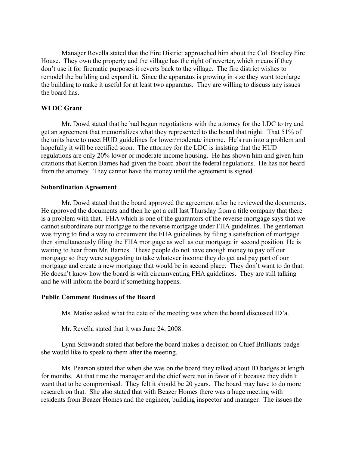Manager Revella stated that the Fire District approached him about the Col. Bradley Fire House. They own the property and the village has the right of reverter, which means if they don't use it for firematic purposes it reverts back to the village. The fire district wishes to remodel the building and expand it. Since the apparatus is growing in size they want toenlarge the building to make it useful for at least two apparatus. They are willing to discuss any issues the board has.

# **WLDC Grant**

Mr. Dowd stated that he had begun negotiations with the attorney for the LDC to try and get an agreement that memorializes what they represented to the board that night. That 51% of the units have to meet HUD guidelines for lower/moderate income. He's run into a problem and hopefully it will be rectified soon. The attorney for the LDC is insisting that the HUD regulations are only 20% lower or moderate income housing. He has shown him and given him citations that Kerron Barnes had given the board about the federal regulations. He has not heard from the attorney. They cannot have the money until the agreement is signed.

#### **Subordination Agreement**

Mr. Dowd stated that the board approved the agreement after he reviewed the documents. He approved the documents and then he got a call last Thursday from a title company that there is a problem with that. FHA which is one of the guarantors of the reverse mortgage says that we cannot subordinate our mortgage to the reverse mortgage under FHA guidelines. The gentleman was trying to find a way to circumvent the FHA guidelines by filing a satisfaction of mortgage then simultaneously filing the FHA mortgage as well as our mortgage in second position. He is waiting to hear from Mr. Barnes. These people do not have enough money to pay off our mortgage so they were suggesting to take whatever income they do get and pay part of our mortgage and create a new mortgage that would be in second place. They don't want to do that. He doesn't know how the board is with circumventing FHA guidelines. They are still talking and he will inform the board if something happens.

#### **Public Comment Business of the Board**

Ms. Matise asked what the date of the meeting was when the board discussed ID'a.

Mr. Revella stated that it was June 24, 2008.

Lynn Schwandt stated that before the board makes a decision on Chief Brilliants badge she would like to speak to them after the meeting.

Ms. Pearson stated that when she was on the board they talked about ID badges at length for months. At that time the manager and the chief were not in favor of it because they didn't want that to be compromised. They felt it should be 20 years. The board may have to do more research on that. She also stated that with Beazer Homes there was a huge meeting with residents from Beazer Homes and the engineer, building inspector and manager. The issues the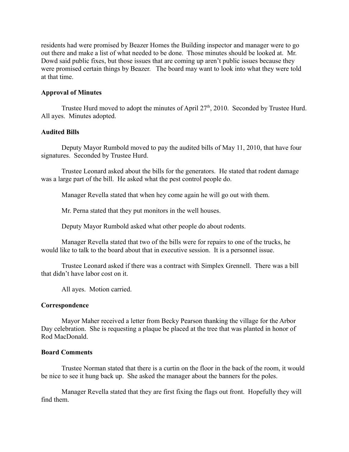residents had were promised by Beazer Homes the Building inspector and manager were to go out there and make a list of what needed to be done. Those minutes should be looked at. Mr. Dowd said public fixes, but those issues that are coming up aren't public issues because they were promised certain things by Beazer. The board may want to look into what they were told at that time.

# **Approval of Minutes**

Trustee Hurd moved to adopt the minutes of April  $27<sup>th</sup>$ , 2010. Seconded by Trustee Hurd. All ayes. Minutes adopted.

# **Audited Bills**

Deputy Mayor Rumbold moved to pay the audited bills of May 11, 2010, that have four signatures. Seconded by Trustee Hurd.

Trustee Leonard asked about the bills for the generators. He stated that rodent damage was a large part of the bill. He asked what the pest control people do.

Manager Revella stated that when hey come again he will go out with them.

Mr. Perna stated that they put monitors in the well houses.

Deputy Mayor Rumbold asked what other people do about rodents.

Manager Revella stated that two of the bills were for repairs to one of the trucks, he would like to talk to the board about that in executive session. It is a personnel issue.

Trustee Leonard asked if there was a contract with Simplex Grennell. There was a bill that didn't have labor cost on it.

All ayes. Motion carried.

# **Correspondence**

Mayor Maher received a letter from Becky Pearson thanking the village for the Arbor Day celebration. She is requesting a plaque be placed at the tree that was planted in honor of Rod MacDonald.

# **Board Comments**

Trustee Norman stated that there is a curtin on the floor in the back of the room, it would be nice to see it hung back up. She asked the manager about the banners for the poles.

Manager Revella stated that they are first fixing the flags out front. Hopefully they will find them.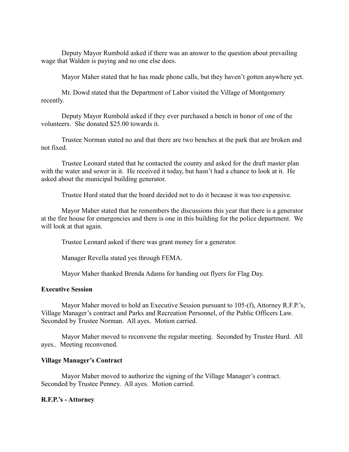Deputy Mayor Rumbold asked if there was an answer to the question about prevailing wage that Walden is paying and no one else does.

Mayor Maher stated that he has made phone calls, but they haven't gotten anywhere yet.

Mr. Dowd stated that the Department of Labor visited the Village of Montgomery recently.

Deputy Mayor Rumbold asked if they ever purchased a bench in honor of one of the volunteers. She donated \$25.00 towards it.

Trustee Norman stated no and that there are two benches at the park that are broken and not fixed.

Trustee Leonard stated that he contacted the county and asked for the draft master plan with the water and sewer in it. He received it today, but hasn't had a chance to look at it. He asked about the municipal building generator.

Trustee Hurd stated that the board decided not to do it because it was too expensive.

Mayor Maher stated that he remembers the discussions this year that there is a generator at the fire house for emergencies and there is one in this building for the police department. We will look at that again.

Trustee Leonard asked if there was grant money for a generator.

Manager Revella stated yes through FEMA.

Mayor Maher thanked Brenda Adams for handing out flyers for Flag Day.

## **Executive Session**

Mayor Maher moved to hold an Executive Session pursuant to 105-(f), Attorney R.F.P.'s, Village Manager's contract and Parks and Recreation Personnel, of the Public Officers Law. Seconded by Trustee Norman. All ayes. Motion carried.

Mayor Maher moved to reconvene the regular meeting. Seconded by Trustee Hurd. All ayes.. Meeting reconvened.

#### **Village Manager's Contract**

Mayor Maher moved to authorize the signing of the Village Manager's contract. Seconded by Trustee Penney. All ayes. Motion carried.

# **R.F.P.'s - Attorney**